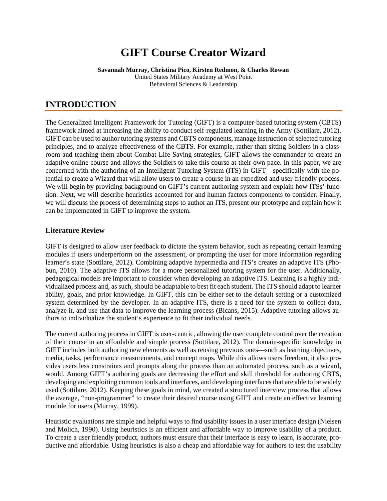# **GIFT Course Creator Wizard**

**Savannah Murray, Christina Pico, Kirsten Redmon, & Charles Rowan** United States Military Academy at West Point Behavioral Sciences & Leadership

### **INTRODUCTION**

The Generalized Intelligent Framework for Tutoring (GIFT) is a computer-based tutoring system (CBTS) framework aimed at increasing the ability to conduct self-regulated learning in the Army (Sottilare, 2012). GIFT can be used to author tutoring systems and CBTS components, manage instruction of selected tutoring principles, and to analyze effectiveness of the CBTS. For example, rather than sitting Soldiers in a classroom and teaching them about Combat Life Saving strategies, GIFT allows the commander to create an adaptive online course and allows the Soldiers to take this course at their own pace. In this paper, we are concerned with the authoring of an Intelligent Tutoring System (ITS) in GIFT—specifically with the potential to create a Wizard that will allow users to create a course in an expedited and user-friendly process. We will begin by providing background on GIFT's current authoring system and explain how ITSs' function. Next, we will describe heuristics accounted for and human factors components to consider. Finally, we will discuss the process of determining steps to author an ITS, present our prototype and explain how it can be implemented in GIFT to improve the system.

### **Literature Review**

GIFT is designed to allow user feedback to dictate the system behavior, such as repeating certain learning modules if users underperform on the assessment, or prompting the user for more information regarding learner's state (Sottilare, 2012). Combining adaptive hypermedia and ITS's creates an adaptive ITS (Phobun, 2010). The adaptive ITS allows for a more personalized tutoring system for the user. Additionally, pedagogical models are important to consider when developing an adaptive ITS. Learning is a highly individualized process and, as such, should be adaptable to best fit each student. The ITS should adapt to learner ability, goals, and prior knowledge. In GIFT, this can be either set to the default setting or a customized system determined by the developer. In an adaptive ITS, there is a need for the system to collect data, analyze it, and use that data to improve the learning process (Bicans, 2015). Adaptive tutoring allows authors to individualize the student's experience to fit their individual needs.

The current authoring process in GIFT is user-centric, allowing the user complete control over the creation of their course in an affordable and simple process (Sottilare, 2012). The domain-specific knowledge in GIFT includes both authoring new elements as well as reusing previous ones—such as learning objectives, media, tasks, performance measurements, and concept maps. While this allows users freedom, it also provides users less constraints and prompts along the process than an automated process, such as a wizard, would. Among GIFT's authoring goals are decreasing the effort and skill threshold for authoring CBTS, developing and exploiting common tools and interfaces, and developing interfaces that are able to be widely used (Sottilare, 2012). Keeping these goals in mind, we created a structured interview process that allows the average, "non-programmer" to create their desired course using GIFT and create an effective learning module for users (Murray, 1999).

Heuristic evaluations are simple and helpful ways to find usability issues in a user interface design (Nielsen and Molich, 1990). Using heuristics is an efficient and affordable way to improve usability of a product. To create a user friendly product, authors must ensure that their interface is easy to learn, is accurate, productive and affordable. Using heuristics is also a cheap and affordable way for authors to test the usability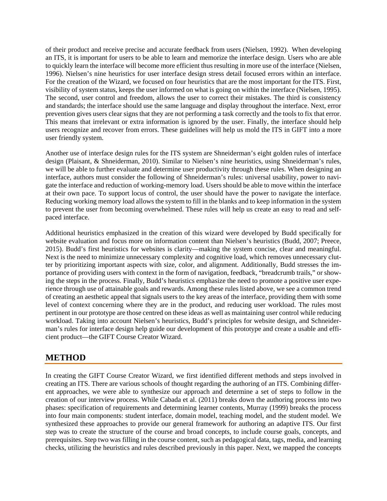of their product and receive precise and accurate feedback from users (Nielsen, 1992). When developing an ITS, it is important for users to be able to learn and memorize the interface design. Users who are able to quickly learn the interface will become more efficient thus resulting in more use of the interface (Nielsen, 1996). Nielsen's nine heuristics for user interface design stress detail focused errors within an interface. For the creation of the Wizard, we focused on four heuristics that are the most important for the ITS. First, visibility of system status, keeps the user informed on what is going on within the interface (Nielsen, 1995). The second, user control and freedom, allows the user to correct their mistakes. The third is consistency and standards; the interface should use the same language and display throughout the interface. Next, error prevention gives users clear signs that they are not performing a task correctly and the tools to fix that error. This means that irrelevant or extra information is ignored by the user. Finally, the interface should help users recognize and recover from errors. These guidelines will help us mold the ITS in GIFT into a more user friendly system.

Another use of interface design rules for the ITS system are Shneiderman's eight golden rules of interface design (Plaisant, & Shneiderman, 2010). Similar to Nielsen's nine heuristics, using Shneiderman's rules, we will be able to further evaluate and determine user productivity through these rules. When designing an interface, authors must consider the following of Shneiderman's rules: universal usability, power to navigate the interface and reduction of working-memory load. Users should be able to move within the interface at their own pace. To support locus of control, the user should have the power to navigate the interface. Reducing working memory load allows the system to fill in the blanks and to keep information in the system to prevent the user from becoming overwhelmed. These rules will help us create an easy to read and selfpaced interface.

Additional heuristics emphasized in the creation of this wizard were developed by Budd specifically for website evaluation and focus more on information content than Nielsen's heuristics (Budd, 2007; Preece, 2015). Budd's first heuristics for websites is clarity—making the system concise, clear and meaningful. Next is the need to minimize unnecessary complexity and cognitive load, which removes unnecessary clutter by prioritizing important aspects with size, color, and alignment. Additionally, Budd stresses the importance of providing users with context in the form of navigation, feedback, "breadcrumb trails," or showing the steps in the process. Finally, Budd's heuristics emphasize the need to promote a positive user experience through use of attainable goals and rewards. Among these rules listed above, we see a common trend of creating an aesthetic appeal that signals users to the key areas of the interface, providing them with some level of context concerning where they are in the product, and reducing user workload. The rules most pertinent in our prototype are those centred on these ideas as well as maintaining user control while reducing workload. Taking into account Nielsen's heuristics, Budd's principles for website design, and Schneiderman's rules for interface design help guide our development of this prototype and create a usable and efficient product—the GIFT Course Creator Wizard.

# **METHOD**

In creating the GIFT Course Creator Wizard, we first identified different methods and steps involved in creating an ITS. There are various schools of thought regarding the authoring of an ITS. Combining different approaches, we were able to synthesize our approach and determine a set of steps to follow in the creation of our interview process. While Cabada et al. (2011) breaks down the authoring process into two phases: specification of requirements and determining learner contents, Murray (1999) breaks the process into four main components: student interface, domain model, teaching model, and the student model. We synthesized these approaches to provide our general framework for authoring an adaptive ITS. Our first step was to create the structure of the course and broad concepts, to include course goals, concepts, and prerequisites. Step two was filling in the course content, such as pedagogical data, tags, media, and learning checks, utilizing the heuristics and rules described previously in this paper. Next, we mapped the concepts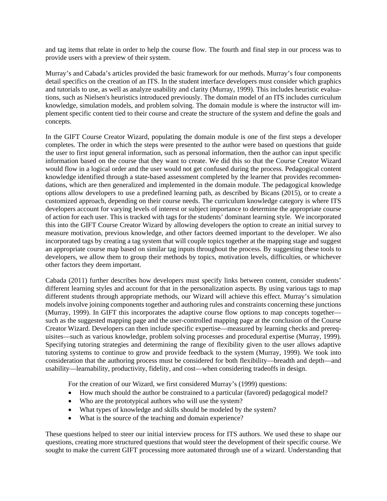and tag items that relate in order to help the course flow. The fourth and final step in our process was to provide users with a preview of their system.

Murray's and Cabada's articles provided the basic framework for our methods. Murray's four components detail specifics on the creation of an ITS. In the student interface developers must consider which graphics and tutorials to use, as well as analyze usability and clarity (Murray, 1999). This includes heuristic evaluations, such as Nielsen's heuristics introduced previously. The domain model of an ITS includes curriculum knowledge, simulation models, and problem solving. The domain module is where the instructor will implement specific content tied to their course and create the structure of the system and define the goals and concepts.

In the GIFT Course Creator Wizard, populating the domain module is one of the first steps a developer completes. The order in which the steps were presented to the author were based on questions that guide the user to first input general information, such as personal information, then the author can input specific information based on the course that they want to create. We did this so that the Course Creator Wizard would flow in a logical order and the user would not get confused during the process. Pedagogical content knowledge identified through a state-based assessment completed by the learner that provides recommendations, which are then generalized and implemented in the domain module. The pedagogical knowledge options allow developers to use a predefined learning path, as described by Bicans (2015), or to create a customized approach, depending on their course needs. The curriculum knowledge category is where ITS developers account for varying levels of interest or subject importance to determine the appropriate course of action for each user. This is tracked with tags for the students' dominant learning style. We incorporated this into the GIFT Course Creator Wizard by allowing developers the option to create an initial survey to measure motivation, previous knowledge, and other factors deemed important to the developer. We also incorporated tags by creating a tag system that will couple topics together at the mapping stage and suggest an appropriate course map based on similar tag inputs throughout the process. By suggesting these tools to developers, we allow them to group their methods by topics, motivation levels, difficulties, or whichever other factors they deem important.

Cabada (2011) further describes how developers must specify links between content, consider students' different learning styles and account for that in the personalization aspects. By using various tags to map different students through appropriate methods, our Wizard will achieve this effect. Murray's simulation models involve joining components together and authoring rules and constraints concerning these junctions (Murray, 1999). In GIFT this incorporates the adaptive course flow options to map concepts together such as the suggested mapping page and the user-controlled mapping page at the conclusion of the Course Creator Wizard. Developers can then include specific expertise—measured by learning checks and prerequisites—such as various knowledge, problem solving processes and procedural expertise (Murray, 1999). Specifying tutoring strategies and determining the range of flexibility given to the user allows adaptive tutoring systems to continue to grow and provide feedback to the system (Murray, 1999). We took into consideration that the authoring process must be considered for both flexibility—breadth and depth—and usability—learnability, productivity, fidelity, and cost—when considering tradeoffs in design.

For the creation of our Wizard, we first considered Murray's (1999) questions:

- How much should the author be constrained to a particular (favored) pedagogical model?
- Who are the prototypical authors who will use the system?
- What types of knowledge and skills should be modeled by the system?
- What is the source of the teaching and domain experience?

These questions helped to steer our initial interview process for ITS authors. We used these to shape our questions, creating more structured questions that would steer the development of their specific course. We sought to make the current GIFT processing more automated through use of a wizard. Understanding that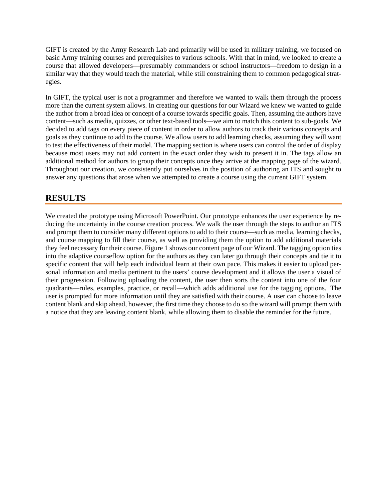GIFT is created by the Army Research Lab and primarily will be used in military training, we focused on basic Army training courses and prerequisites to various schools. With that in mind, we looked to create a course that allowed developers—presumably commanders or school instructors—freedom to design in a similar way that they would teach the material, while still constraining them to common pedagogical strategies.

In GIFT, the typical user is not a programmer and therefore we wanted to walk them through the process more than the current system allows. In creating our questions for our Wizard we knew we wanted to guide the author from a broad idea or concept of a course towards specific goals. Then, assuming the authors have content—such as media, quizzes, or other text-based tools—we aim to match this content to sub-goals. We decided to add tags on every piece of content in order to allow authors to track their various concepts and goals as they continue to add to the course. We allow users to add learning checks, assuming they will want to test the effectiveness of their model. The mapping section is where users can control the order of display because most users may not add content in the exact order they wish to present it in. The tags allow an additional method for authors to group their concepts once they arrive at the mapping page of the wizard. Throughout our creation, we consistently put ourselves in the position of authoring an ITS and sought to answer any questions that arose when we attempted to create a course using the current GIFT system.

## **RESULTS**

We created the prototype using Microsoft PowerPoint. Our prototype enhances the user experience by reducing the uncertainty in the course creation process. We walk the user through the steps to author an ITS and prompt them to consider many different options to add to their course—such as media, learning checks, and course mapping to fill their course, as well as providing them the option to add additional materials they feel necessary for their course. Figure 1 shows our content page of our Wizard. The tagging option ties into the adaptive courseflow option for the authors as they can later go through their concepts and tie it to specific content that will help each individual learn at their own pace. This makes it easier to upload personal information and media pertinent to the users' course development and it allows the user a visual of their progression. Following uploading the content, the user then sorts the content into one of the four quadrants—rules, examples, practice, or recall—which adds additional use for the tagging options. The user is prompted for more information until they are satisfied with their course. A user can choose to leave content blank and skip ahead, however, the first time they choose to do so the wizard will prompt them with a notice that they are leaving content blank, while allowing them to disable the reminder for the future.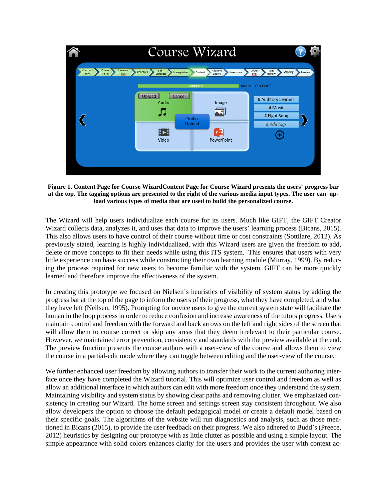

**Figure 1. Content Page for Course WizardContent Page for Course Wizard presents the users' progress bar at the top. The tagging options are presented to the right of the various media input types. The user can upload various types of media that are used to build the personalized course.**

The Wizard will help users individualize each course for its users. Much like GIFT, the GIFT Creator Wizard collects data, analyzes it, and uses that data to improve the users' learning process (Bicans, 2015). This also allows users to have control of their course without time or cost constraints (Sottilare, 2012). As previously stated, learning is highly individualized, with this Wizard users are given the freedom to add, delete or move concepts to fit their needs while using this ITS system. This ensures that users with very little experience can have success while constructing their own learning module (Murray, 1999). By reducing the process required for new users to become familiar with the system, GIFT can be more quickly learned and therefore improve the effectiveness of the system.

In creating this prototype we focused on Nielsen's heuristics of visibility of system status by adding the progress bar at the top of the page to inform the users of their progress, what they have completed, and what they have left (Neilsen, 1995). Prompting for novice users to give the current system state will facilitate the human in the loop process in order to reduce confusion and increase awareness of the tutors progress. Users maintain control and freedom with the forward and back arrows on the left and right sides of the screen that will allow them to course correct or skip any areas that they deem irrelevant to their particular course. However, we maintained error prevention, consistency and standards with the preview available at the end. The preview function presents the course authors with a user-view of the course and allows them to view the course in a partial-edit mode where they can toggle between editing and the user-view of the course.

We further enhanced user freedom by allowing authors to transfer their work to the current authoring interface once they have completed the Wizard tutorial. This will optimize user control and freedom as well as allow an additional interface in which authors can edit with more freedom once they understand the system. Maintaining visibility and system status by showing clear paths and removing clutter. We emphasized consistency in creating our Wizard. The home screen and settings screen stay consistent throughout. We also allow developers the option to choose the default pedagogical model or create a default model based on their specific goals. The algorithms of the website will run diagnostics and analysis, such as those mentioned in Bicans (2015), to provide the user feedback on their progress. We also adhered to Budd's (Preece, 2012) heuristics by designing our prototype with as little clutter as possible and using a simple layout. The simple appearance with solid colors enhances clarity for the users and provides the user with context ac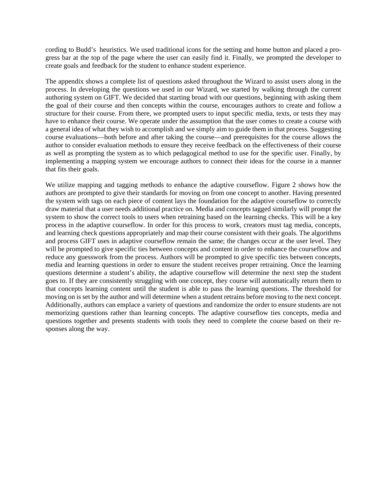cording to Budd's heuristics. We used traditional icons for the setting and home button and placed a progress bar at the top of the page where the user can easily find it. Finally, we prompted the developer to create goals and feedback for the student to enhance student experience.

The appendix shows a complete list of questions asked throughout the Wizard to assist users along in the process. In developing the questions we used in our Wizard, we started by walking through the current authoring system on GIFT. We decided that starting broad with our questions, beginning with asking them the goal of their course and then concepts within the course, encourages authors to create and follow a structure for their course. From there, we prompted users to input specific media, texts, or tests they may have to enhance their course. We operate under the assumption that the user comes to create a course with a general idea of what they wish to accomplish and we simply aim to guide them in that process. Suggesting course evaluations—both before and after taking the course—and prerequisites for the course allows the author to consider evaluation methods to ensure they receive feedback on the effectiveness of their course as well as prompting the system as to which pedagogical method to use for the specific user. Finally, by implementing a mapping system we encourage authors to connect their ideas for the course in a manner that fits their goals.

We utilize mapping and tagging methods to enhance the adaptive courseflow. Figure 2 shows how the authors are prompted to give their standards for moving on from one concept to another. Having presented the system with tags on each piece of content lays the foundation for the adaptive courseflow to correctly draw material that a user needs additional practice on. Media and concepts tagged similarly will prompt the system to show the correct tools to users when retraining based on the learning checks. This will be a key process in the adaptive courseflow. In order for this process to work, creators must tag media, concepts, and learning check questions appropriately and map their course consistent with their goals. The algorithms and process GIFT uses in adaptive courseflow remain the same; the changes occur at the user level. They will be prompted to give specific ties between concepts and content in order to enhance the courseflow and reduce any guesswork from the process. Authors will be prompted to give specific ties between concepts, media and learning questions in order to ensure the student receives proper retraining. Once the learning questions determine a student's ability, the adaptive courseflow will determine the next step the student goes to. If they are consistently struggling with one concept, they course will automatically return them to that concepts learning content until the student is able to pass the learning questions. The threshold for moving on is set by the author and will determine when a student retrains before moving to the next concept. Additionally, authors can emplace a variety of questions and randomize the order to ensure students are not memorizing questions rather than learning concepts. The adaptive courseflow ties concepts, media and questions together and presents students with tools they need to complete the course based on their responses along the way.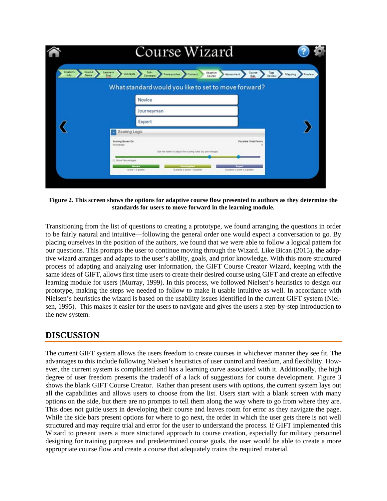|                                       | Course Wizard                                                                                                                                                                            |                    |
|---------------------------------------|------------------------------------------------------------------------------------------------------------------------------------------------------------------------------------------|--------------------|
| Course 1<br>Creator's<br><b>Infla</b> | Sobre Premiumes Comen<br>Learners<br>Adaptive<br>Course > Tap<br>Concepts<br>Assessment<br><b>Eval</b><br>Course                                                                         | Mapping<br>Preview |
|                                       | What standard would you like to set to move forward?                                                                                                                                     |                    |
|                                       | Novice                                                                                                                                                                                   |                    |
|                                       | Journeyman                                                                                                                                                                               |                    |
|                                       | Expert                                                                                                                                                                                   |                    |
|                                       | Scoring Logic                                                                                                                                                                            |                    |
|                                       | <b>Sconing Based On</b><br><b>Possible Total Points</b><br>Kinisale-Blat<br>1 Angle Andrew Communication Andrew March 2011<br>Use the silder to adjust the scoring rules (by percentage) |                    |
|                                       | Li finoa Percentages<br>Expert<br>Novice<br>вспи « 0 роять<br>0 points a score + 5 points<br>Il points is some is 0 points                                                               |                    |
|                                       |                                                                                                                                                                                          |                    |

**Figure 2. This screen shows the options for adaptive course flow presented to authors as they determine the standards for users to move forward in the learning module.**

Transitioning from the list of questions to creating a prototype, we found arranging the questions in order to be fairly natural and intuitive—following the general order one would expect a conversation to go. By placing ourselves in the position of the authors, we found that we were able to follow a logical pattern for our questions. This prompts the user to continue moving through the Wizard. Like Bican (2015), the adaptive wizard arranges and adapts to the user's ability, goals, and prior knowledge. With this more structured process of adapting and analyzing user information, the GIFT Course Creator Wizard, keeping with the same ideas of GIFT, allows first time users to create their desired course using GIFT and create an effective learning module for users (Murray, 1999). In this process, we followed Nielsen's heuristics to design our prototype, making the steps we needed to follow to make it usable intuitive as well. In accordance with Nielsen's heuristics the wizard is based on the usability issues identified in the current GIFT system (Nielsen, 1995). This makes it easier for the users to navigate and gives the users a step-by-step introduction to the new system.

### **DISCUSSION**

The current GIFT system allows the users freedom to create courses in whichever manner they see fit. The advantages to this include following Nielsen's heuristics of user control and freedom, and flexibility. However, the current system is complicated and has a learning curve associated with it. Additionally, the high degree of user freedom presents the tradeoff of a lack of suggestions for course development. Figure 3 shows the blank GIFT Course Creator. Rather than present users with options, the current system lays out all the capabilities and allows users to choose from the list. Users start with a blank screen with many options on the side, but there are no prompts to tell them along the way where to go from where they are. This does not guide users in developing their course and leaves room for error as they navigate the page. While the side bars present options for where to go next, the order in which the user gets there is not well structured and may require trial and error for the user to understand the process. If GIFT implemented this Wizard to present users a more structured approach to course creation, especially for military personnel designing for training purposes and predetermined course goals, the user would be able to create a more appropriate course flow and create a course that adequately trains the required material.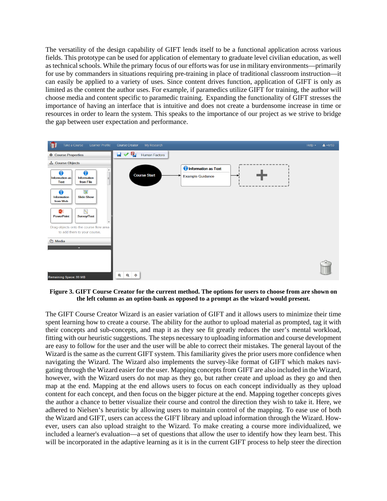The versatility of the design capability of GIFT lends itself to be a functional application across various fields. This prototype can be used for application of elementary to graduate level civilian education, as well as technical schools. While the primary focus of our efforts was for use in military environments—primarily for use by commanders in situations requiring pre-training in place of traditional classroom instruction—it can easily be applied to a variety of uses. Since content drives function, application of GIFT is only as limited as the content the author uses. For example, if paramedics utilize GIFT for training, the author will choose media and content specific to paramedic training. Expanding the functionality of GIFT stresses the importance of having an interface that is intuitive and does not create a burdensome increase in time or resources in order to learn the system. This speaks to the importance of our project as we strive to bridge the gap between user expectation and performance.



**Figure 3. GIFT Course Creator for the current method. The options for users to choose from are shown on the left column as an option-bank as opposed to a prompt as the wizard would present.**

The GIFT Course Creator Wizard is an easier variation of GIFT and it allows users to minimize their time spent learning how to create a course. The ability for the author to upload material as prompted, tag it with their concepts and sub-concepts, and map it as they see fit greatly reduces the user's mental workload, fitting with our heuristic suggestions. The steps necessary to uploading information and course development are easy to follow for the user and the user will be able to correct their mistakes. The general layout of the Wizard is the same as the current GIFT system. This familiarity gives the prior users more confidence when navigating the Wizard. The Wizard also implements the survey-like format of GIFT which makes navigating through the Wizard easier for the user. Mapping concepts from GIFT are also included in the Wizard, however, with the Wizard users do not map as they go, but rather create and upload as they go and then map at the end. Mapping at the end allows users to focus on each concept individually as they upload content for each concept, and then focus on the bigger picture at the end. Mapping together concepts gives the author a chance to better visualize their course and control the direction they wish to take it. Here, we adhered to Nielsen's heuristic by allowing users to maintain control of the mapping. To ease use of both the Wizard and GIFT, users can access the GIFT library and upload information through the Wizard. However, users can also upload straight to the Wizard. To make creating a course more individualized, we included a learner's evaluation—a set of questions that allow the user to identify how they learn best. This will be incorporated in the adaptive learning as it is in the current GIFT process to help steer the direction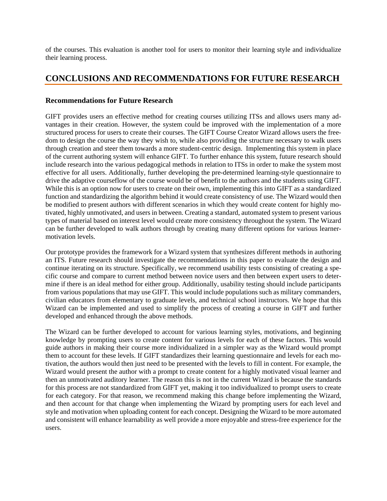of the courses. This evaluation is another tool for users to monitor their learning style and individualize their learning process.

### **CONCLUSIONS AND RECOMMENDATIONS FOR FUTURE RESEARCH**

#### **Recommendations for Future Research**

GIFT provides users an effective method for creating courses utilizing ITSs and allows users many advantages in their creation. However, the system could be improved with the implementation of a more structured process for users to create their courses. The GIFT Course Creator Wizard allows users the freedom to design the course the way they wish to, while also providing the structure necessary to walk users through creation and steer them towards a more student-centric design. Implementing this system in place of the current authoring system will enhance GIFT. To further enhance this system, future research should include research into the various pedagogical methods in relation to ITSs in order to make the system most effective for all users. Additionally, further developing the pre-determined learning-style questionnaire to drive the adaptive courseflow of the course would be of benefit to the authors and the students using GIFT. While this is an option now for users to create on their own, implementing this into GIFT as a standardized function and standardizing the algorithm behind it would create consistency of use. The Wizard would then be modified to present authors with different scenarios in which they would create content for highly motivated, highly unmotivated, and users in between. Creating a standard, automated system to present various types of material based on interest level would create more consistency throughout the system. The Wizard can be further developed to walk authors through by creating many different options for various learnermotivation levels.

Our prototype provides the framework for a Wizard system that synthesizes different methods in authoring an ITS. Future research should investigate the recommendations in this paper to evaluate the design and continue iterating on its structure. Specifically, we recommend usability tests consisting of creating a specific course and compare to current method between novice users and then between expert users to determine if there is an ideal method for either group. Additionally, usability testing should include participants from various populations that may use GIFT. This would include populations such as military commanders, civilian educators from elementary to graduate levels, and technical school instructors. We hope that this Wizard can be implemented and used to simplify the process of creating a course in GIFT and further developed and enhanced through the above methods.

The Wizard can be further developed to account for various learning styles, motivations, and beginning knowledge by prompting users to create content for various levels for each of these factors. This would guide authors in making their course more individualized in a simpler way as the Wizard would prompt them to account for these levels. If GIFT standardizes their learning questionnaire and levels for each motivation, the authors would then just need to be presented with the levels to fill in content. For example, the Wizard would present the author with a prompt to create content for a highly motivated visual learner and then an unmotivated auditory learner. The reason this is not in the current Wizard is because the standards for this process are not standardized from GIFT yet, making it too individualized to prompt users to create for each category. For that reason, we recommend making this change before implementing the Wizard, and then account for that change when implementing the Wizard by prompting users for each level and style and motivation when uploading content for each concept. Designing the Wizard to be more automated and consistent will enhance learnability as well provide a more enjoyable and stress-free experience for the users.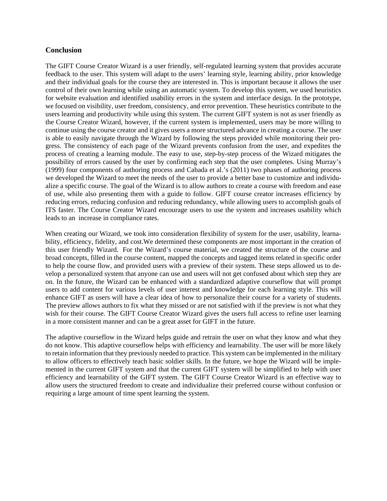#### **Conclusion**

The GIFT Course Creator Wizard is a user friendly, self-regulated learning system that provides accurate feedback to the user. This system will adapt to the users' learning style, learning ability, prior knowledge and their individual goals for the course they are interested in. This is important because it allows the user control of their own learning while using an automatic system. To develop this system, we used heuristics for website evaluation and identified usability errors in the system and interface design. In the prototype, we focused on visibility, user freedom, consistency, and error prevention. These heuristics contribute to the users learning and productivity while using this system. The current GIFT system is not as user friendly as the Course Creator Wizard, however, if the current system is implemented, users may be more willing to continue using the course creator and it gives users a more structured advance in creating a course. The user is able to easily navigate through the Wizard by following the steps provided while monitoring their progress. The consistency of each page of the Wizard prevents confusion from the user, and expedites the process of creating a learning module. The easy to use, step-by-step process of the Wizard mitigates the possibility of errors caused by the user by confirming each step that the user completes. Using Murray's (1999) four components of authoring process and Cabada et al.'s (2011) two phases of authoring process we developed the Wizard to meet the needs of the user to provide a better base to customize and individualize a specific course. The goal of the Wizard is to allow authors to create a course with freedom and ease of use, while also presenting them with a guide to follow. GIFT course creator increases efficiency by reducing errors, reducing confusion and reducing redundancy, while allowing users to accomplish goals of ITS faster. The Course Creator Wizard encourage users to use the system and increases usability which leads to an increase in compliance rates.

When creating our Wizard, we took into consideration flexibility of system for the user, usability, learnability, efficiency, fidelity, and cost.We determined these components are most important in the creation of this user friendly Wizard. For the Wizard's course material, we created the structure of the course and broad concepts, filled in the course content, mapped the concepts and tagged items related in specific order to help the course flow, and provided users with a preview of their system. These steps allowed us to develop a personalized system that anyone can use and users will not get confused about which step they are on. In the future, the Wizard can be enhanced with a standardized adaptive courseflow that will prompt users to add content for various levels of user interest and knowledge for each learning style. This will enhance GIFT as users will have a clear idea of how to personalize their course for a variety of students. The preview allows authors to fix what they missed or are not satisfied with if the preview is not what they wish for their course. The GIFT Course Creator Wizard gives the users full access to refine user learning in a more consistent manner and can be a great asset for GIFT in the future.

The adaptive courseflow in the Wizard helps guide and retrain the user on what they know and what they do not know. This adaptive courseflow helps with efficiency and learnability. The user will be more likely to retain information that they previously needed to practice. This system can be implemented in the military to allow officers to effectively teach basic soldier skills. In the future, we hope the Wizard will be implemented in the current GIFT system and that the current GIFT system will be simplified to help with user efficiency and learnability of the GIFT system. The GIFT Course Creator Wizard is an effective way to allow users the structured freedom to create and individualize their preferred course without confusion or requiring a large amount of time spent learning the system.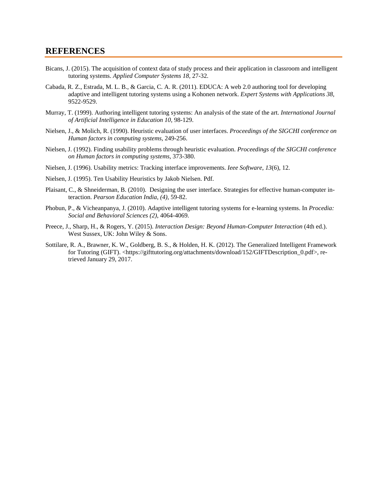#### **REFERENCES**

- Bicans, J. (2015). The acquisition of context data of study process and their application in classroom and intelligent tutoring systems. *Applied Computer Systems 18,* 27-32.
- Cabada, R. Z., Estrada, M. L. B., & Garcia, C. A. R. (2011). EDUCA: A web 2.0 authoring tool for developing adaptive and intelligent tutoring systems using a Kohonen network. *Expert Systems with Applications 38,* 9522-9529.
- Murray, T. (1999). Authoring intelligent tutoring systems: An analysis of the state of the art. *International Journal of Artificial Intelligence in Education 10,* 98-129.
- Nielsen, J., & Molich, R. (1990). Heuristic evaluation of user interfaces. *Proceedings of the SIGCHI conference on Human factors in computing systems,* 249-256.
- Nielsen, J. (1992). Finding usability problems through heuristic evaluation. *Proceedings of the SIGCHI conference on Human factors in computing systems*, 373-380.
- Nielsen, J. (1996). Usability metrics: Tracking interface improvements. *Ieee Software*, *13*(6), 12.
- Nielsen, J. (1995). Ten Usability Heuristics by Jakob Nielsen. Pdf.
- Plaisant, C., & Shneiderman, B. (2010). Designing the user interface. Strategies for effective human-computer interaction. *Pearson Education India, (4),* 59-82.
- Phobun, P., & Vicheanpanya, J. (2010). Adaptive intelligent tutoring systems for e-learning systems. In *Procedia: Social and Behavioral Sciences (2)*, 4064-4069.
- Preece, J., Sharp, H., & Rogers, Y. (2015). *Interaction Design: Beyond Human-Computer Interaction* (4th ed.). West Sussex, UK: John Wiley & Sons.
- Sottilare, R. A., Brawner, K. W., Goldberg, B. S., & Holden, H. K. (2012). The Generalized Intelligent Framework for Tutoring (GIFT). <https://gifttutoring.org/attachments/download/152/GIFTDescription 0.pdf>, retrieved January 29, 2017.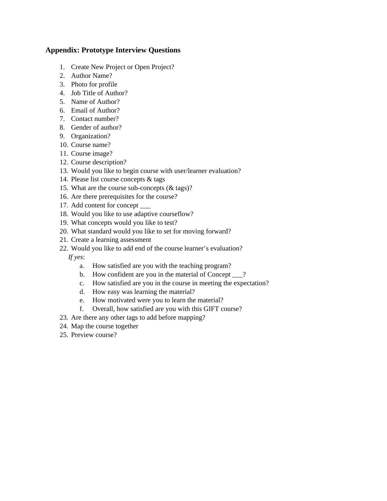### **Appendix: Prototype Interview Questions**

- 1. Create New Project or Open Project?
- 2. Author Name?
- 3. Photo for profile
- 4. Job Title of Author?
- 5. Name of Author?
- 6. Email of Author?
- 7. Contact number?
- 8. Gender of author?
- 9. Organization?
- 10. Course name?
- 11. Course image?
- 12. Course description?
- 13. Would you like to begin course with user/learner evaluation?
- 14. Please list course concepts & tags
- 15. What are the course sub-concepts (& tags)?
- 16. Are there prerequisites for the course?
- 17. Add content for concept \_\_\_
- 18. Would you like to use adaptive courseflow?
- 19. What concepts would you like to test?
- 20. What standard would you like to set for moving forward?
- 21. Create a learning assessment
- 22. Would you like to add end of the course learner's evaluation?

*If yes*:

- a. How satisfied are you with the teaching program?
- b. How confident are you in the material of Concept \_\_\_?
- c. How satisfied are you in the course in meeting the expectation?
- d. How easy was learning the material?
- e. How motivated were you to learn the material?
- f. Overall, how satisfied are you with this GIFT course?
- 23. Are there any other tags to add before mapping?
- 24. Map the course together
- 25. Preview course?